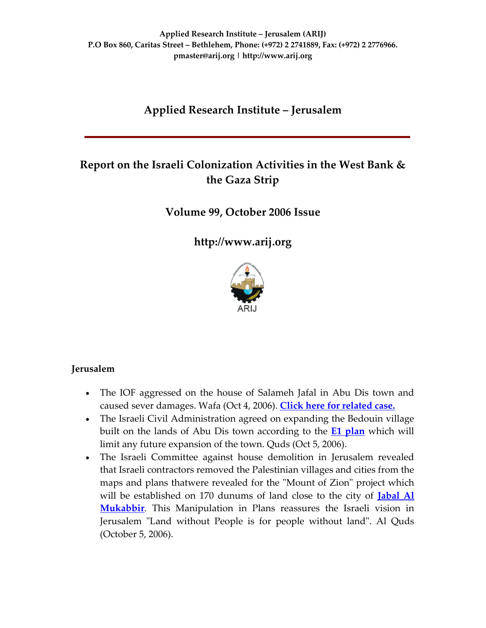# **Applied Research Institute – Jerusalem**

# **Report on the Israeli Colonization Activities in the West Bank & the Gaza Strip**

**Volume 99, October 2006 Issue**

**[http://www.arij.org](http://www.arij.org/)**



### **Jerusalem**

- The IOF aggressed on the house of Salameh Jafal in Abu Dis town and caused sever damages. Wafa (Oct 4, 2006). **Click here for [related](http://www.poica.org/editor/case_studies/view.php?recordID=907) case.**
- The Israeli Civil Administration agreed on expanding the Bedouin village built on the lands of Abu Dis town according to the **E1 [plan](http://www.poica.org/editor/case_studies/view.php?recordID=570)** which will limit any future expansion of the town. Quds (Oct 5, 2006).
- The Israeli Committee against house demolition in Jerusalem revealed that Israeli contractors removed the Palestinian villages and cities from the maps and plans thatwere revealed for the "Mount of Zion" project which will be established on 170 dunums of land close to the city of **[Jabal](http://www.poica.org/editor/case_studies/view.php?recordID=325) Al [Mukabbir](http://www.poica.org/editor/case_studies/view.php?recordID=325)**. This Manipulation in Plans reassures the Israeli vision in Jerusalem "Land without People is for people without land". Al Quds (October 5, 2006).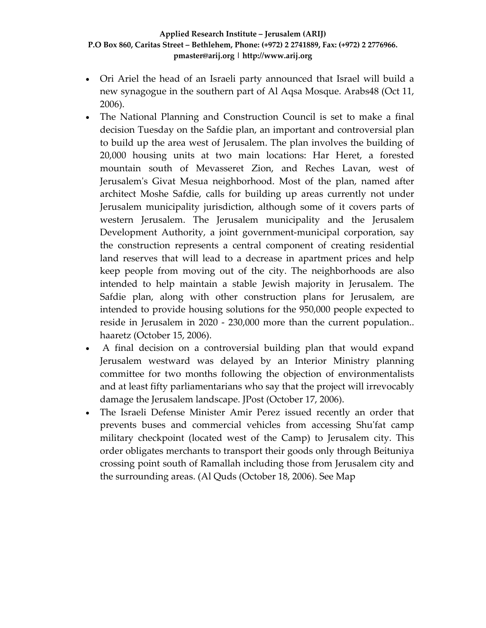- Ori Ariel the head of an Israeli party announced that Israel will build a new synagogue in the southern part of Al Aqsa Mosque. Arabs48 (Oct 11, 2006).
- The National Planning and Construction Council is set to make a final decision Tuesday on the Safdie plan, an important and controversial plan to build up the area west of Jerusalem. The plan involves the building of 20,000 housing units at two main locations: Har Heret, a forested mountain south of Mevasseret Zion, and Reches Lavan, west of Jerusalemʹs Givat Mesua neighborhood. Most of the plan, named after architect Moshe Safdie, calls for building up areas currently not under Jerusalem municipality jurisdiction, although some of it covers parts of western Jerusalem. The Jerusalem municipality and the Jerusalem Development Authority, a joint government‐municipal corporation, say the construction represents a central component of creating residential land reserves that will lead to a decrease in apartment prices and help keep people from moving out of the city. The neighborhoods are also intended to help maintain a stable Jewish majority in Jerusalem. The Safdie plan, along with other construction plans for Jerusalem, are intended to provide housing solutions for the 950,000 people expected to reside in Jerusalem in 2020 - 230,000 more than the current population.. haaretz (October 15, 2006).
- A final decision on a controversial building plan that would expand Jerusalem westward was delayed by an Interior Ministry planning committee for two months following the objection of environmentalists and at least fifty parliamentarians who say that the project will irrevocably damage the Jerusalem landscape. JPost (October 17, 2006).
- The Israeli Defense Minister Amir Perez issued recently an order that prevents buses and commercial vehicles from accessing Shuʹfat camp military checkpoint (located west of the Camp) to Jerusalem city. This order obligates merchants to transport their goods only through Beituniya crossing point south of Ramallah including those from Jerusalem city and the surrounding areas. (Al Quds (October 18, 2006). See Map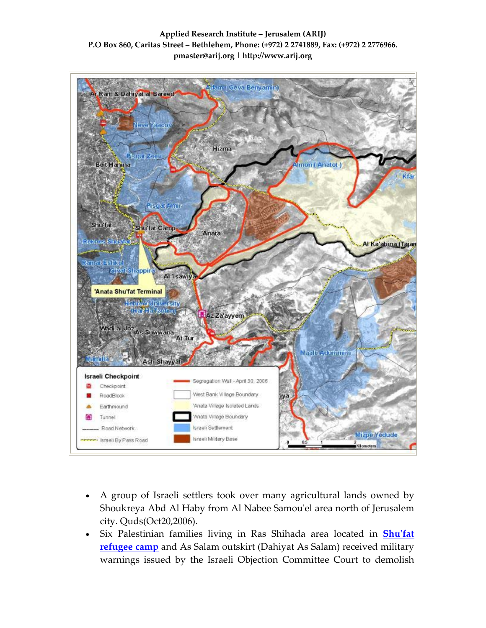

- A group of Israeli settlers took over many agricultural lands owned by Shoukreya Abd Al Haby from Al Nabee Samouʹel area north of Jerusalem city. Quds(Oct20,2006).
- Six Palestinian families living in Ras Shihada area located in **[Shu](http://www.poica.org/editor/case_studies/view.php?recordID=427)ʹfat [refugee](http://www.poica.org/editor/case_studies/view.php?recordID=427) camp** and As Salam outskirt (Dahiyat As Salam) received military warnings issued by the Israeli Objection Committee Court to demolish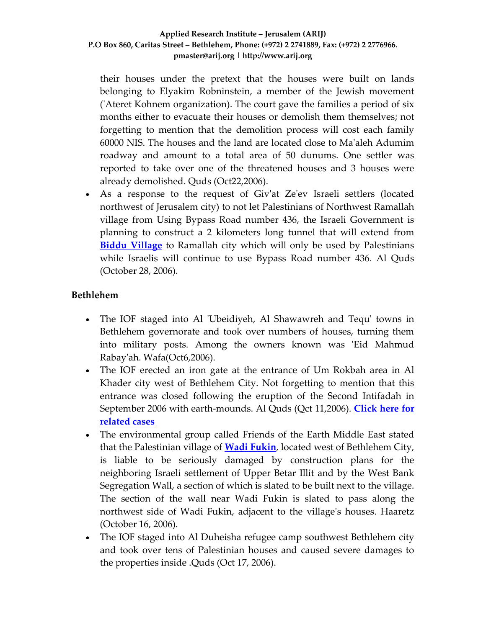their houses under the pretext that the houses were built on lands belonging to Elyakim Robninstein, a member of the Jewish movement ('Ateret Kohnem organization). The court gave the families a period of six months either to evacuate their houses or demolish them themselves; not forgetting to mention that the demolition process will cost each family 60000 NIS. The houses and the land are located close to Maʹaleh Adumim roadway and amount to a total area of 50 dunums. One settler was reported to take over one of the threatened houses and 3 houses were already demolished. Quds (Oct22,2006).

• As a response to the request of Giv'at Ze'ev Israeli settlers (located northwest of Jerusalem city) to not let Palestinians of Northwest Ramallah village from Using Bypass Road number 436, the Israeli Government is planning to construct a 2 kilometers long tunnel that will extend from **Biddu [Village](http://www.poica.org/editor/case_studies/view.php?recordID=551)** to Ramallah city which will only be used by Palestinians while Israelis will continue to use Bypass Road number 436. Al Quds (October 28, 2006).

# **Bethlehem**

- The IOF staged into Al 'Ubeidiyeh, Al Shawawreh and Tequ' towns in Bethlehem governorate and took over numbers of houses, turning them into military posts. Among the owners known was 'Eid Mahmud Rabayʹah. Wafa(Oct6,2006).
- The IOF erected an iron gate at the entrance of Um Rokbah area in Al Khader city west of Bethlehem City. Not forgetting to mention that this entrance was closed following the eruption of the Second Intifadah in September 2006 with earth‐mounds. Al Quds (Qct 11,2006). **[Click](http://www.poica.org/editor/case_studies/view.php?recordID=768) here for [related](http://www.poica.org/editor/case_studies/view.php?recordID=768) cases**
- The environmental group called Friends of the Earth Middle East stated that the Palestinian village of **Wadi [Fukin](http://www.poica.org/editor/case_studies/view.php?recordID=933)**, located west of Bethlehem City, is liable to be seriously damaged by construction plans for the neighboring Israeli settlement of Upper Betar Illit and by the West Bank Segregation Wall, a section of which is slated to be built next to the village. The section of the wall near Wadi Fukin is slated to pass along the northwest side of Wadi Fukin, adjacent to the villageʹs houses. Haaretz (October 16, 2006).
- The IOF staged into Al Duheisha refugee camp southwest Bethlehem city and took over tens of Palestinian houses and caused severe damages to the properties inside .Quds (Oct 17, 2006).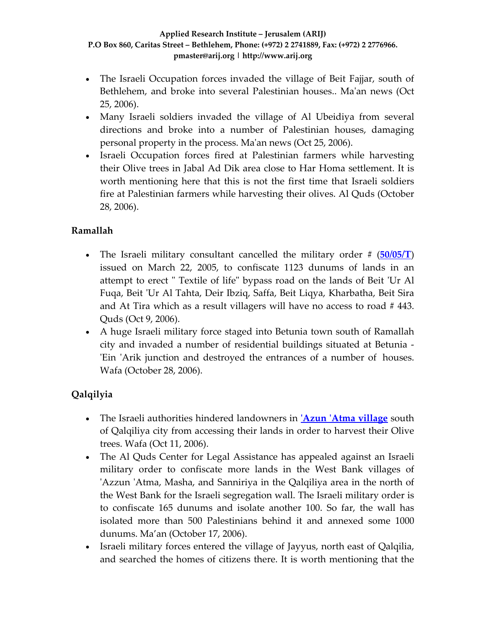- The Israeli Occupation forces invaded the village of Beit Fajjar, south of Bethlehem, and broke into several Palestinian houses.. Ma'an news (Oct 25, 2006).
- Many Israeli soldiers invaded the village of Al Ubeidiya from several directions and broke into a number of Palestinian houses, damaging personal property in the process. Maʹan news (Oct 25, 2006).
- Israeli Occupation forces fired at Palestinian farmers while harvesting their Olive trees in Jabal Ad Dik area close to Har Homa settlement. It is worth mentioning here that this is not the first time that Israeli soldiers fire at Palestinian farmers while harvesting their olives. Al Quds (October 28, 2006).

# **Ramallah**

- The Israeli military consultant cancelled the military order # (**[50/05/T](http://orders.arij.org/searchMONoResult.php?MONo=403)**) issued on March 22, 2005, to confiscate 1123 dunums of lands in an attempt to erect " Textile of life" bypass road on the lands of Beit 'Ur Al Fuqa, Beit ʹUr Al Tahta, Deir Ibziq, Saffa, Beit Liqya, Kharbatha, Beit Sira and At Tira which as a result villagers will have no access to road # 443. Quds (Oct 9, 2006).
- A huge Israeli military force staged into Betunia town south of Ramallah city and invaded a number of residential buildings situated at Betunia ‐ 'Ein 'Arik junction and destroyed the entrances of a number of houses. Wafa (October 28, 2006).

# **Qalqilyia**

- The Israeli authorities hindered landowners in **ʹAzun ʹAtma [village](http://www.poica.org/editor/case_studies/view.php?recordID=915)** south of Qalqiliya city from accessing their lands in order to harvest their Olive trees. Wafa (Oct 11, 2006).
- The Al Quds Center for Legal Assistance has appealed against an Israeli military order to confiscate more lands in the West Bank villages of ʹAzzun ʹAtma, Masha, and Sanniriya in the Qalqiliya area in the north of the West Bank for the Israeli segregation wall. The Israeli military order is to confiscate 165 dunums and isolate another 100. So far, the wall has isolated more than 500 Palestinians behind it and annexed some 1000 dunums. Ma'an (October 17, 2006).
- Israeli military forces entered the village of Jayyus, north east of Qalqilia, and searched the homes of citizens there. It is worth mentioning that the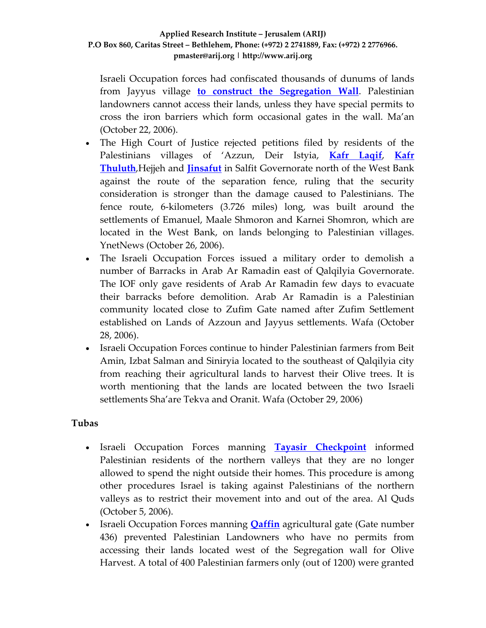Israeli Occupation forces had confiscated thousands of dunums of lands from Jayyus village **to construct the [Segregation](http://www.poica.org/editor/case_studies/view.php?recordID=473) Wall**. Palestinian landowners cannot access their lands, unless they have special permits to cross the iron barriers which form occasional gates in the wall. Ma'an (October 22, 2006).

- The High Court of Justice rejected petitions filed by residents of the Palestinians villages of 'Azzun, Deir Istyia, **Kafr [Laqif](http://www.poica.org/editor/case_studies/view.php?recordID=881)**, **[Kafr](http://www.poica.org/editor/case_studies/view.php?recordID=382) [Thuluth](http://www.poica.org/editor/case_studies/view.php?recordID=382)**,Hejjeh and **[Jinsafut](http://www.poica.org/editor/case_studies/view.php?recordID=581)** in Salfit Governorate north of the West Bank against the route of the separation fence, ruling that the security consideration is stronger than the damage caused to Palestinians. The fence route, 6‐kilometers (3.726 miles) long, was built around the settlements of Emanuel, Maale Shmoron and Karnei Shomron, which are located in the West Bank, on lands belonging to Palestinian villages. YnetNews (October 26, 2006).
- The Israeli Occupation Forces issued a military order to demolish a number of Barracks in Arab Ar Ramadin east of Qalqilyia Governorate. The IOF only gave residents of Arab Ar Ramadin few days to evacuate their barracks before demolition. Arab Ar Ramadin is a Palestinian community located close to Zufim Gate named after Zufim Settlement established on Lands of Azzoun and Jayyus settlements. Wafa (October 28, 2006).
- Israeli Occupation Forces continue to hinder Palestinian farmers from Beit Amin, Izbat Salman and Siniryia located to the southeast of Qalqilyia city from reaching their agricultural lands to harvest their Olive trees. It is worth mentioning that the lands are located between the two Israeli settlements Sha'are Tekva and Oranit. Wafa (October 29, 2006)

### **Tubas**

- Israeli Occupation Forces manning **Tayasir [Checkpoint](http://www.poica.org/editor/case_studies/view.php?recordID=467)** informed Palestinian residents of the northern valleys that they are no longer allowed to spend the night outside their homes. This procedure is among other procedures Israel is taking against Palestinians of the northern valleys as to restrict their movement into and out of the area. Al Quds (October 5, 2006).
- Israeli Occupation Forces manning **[Qaffin](http://www.poica.org/editor/case_studies/view.php?recordID=648)** agricultural gate (Gate number 436) prevented Palestinian Landowners who have no permits from accessing their lands located west of the Segregation wall for Olive Harvest. A total of 400 Palestinian farmers only (out of 1200) were granted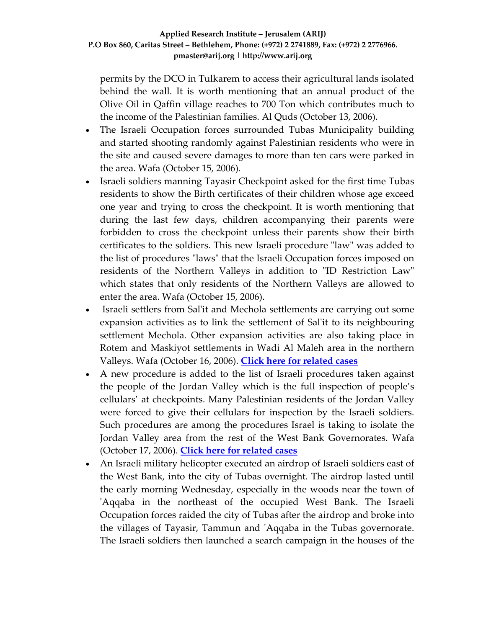permits by the DCO in Tulkarem to access their agricultural lands isolated behind the wall. It is worth mentioning that an annual product of the Olive Oil in Qaffin village reaches to 700 Ton which contributes much to the income of the Palestinian families. Al Quds (October 13, 2006).

- The Israeli Occupation forces surrounded Tubas Municipality building and started shooting randomly against Palestinian residents who were in the site and caused severe damages to more than ten cars were parked in the area. Wafa (October 15, 2006).
- Israeli soldiers manning Tayasir Checkpoint asked for the first time Tubas residents to show the Birth certificates of their children whose age exceed one year and trying to cross the checkpoint. It is worth mentioning that during the last few days, children accompanying their parents were forbidden to cross the checkpoint unless their parents show their birth certificates to the soldiers. This new Israeli procedure "law" was added to the list of procedures "laws" that the Israeli Occupation forces imposed on residents of the Northern Valleys in addition to "ID Restriction Law" which states that only residents of the Northern Valleys are allowed to enter the area. Wafa (October 15, 2006).
- Israeli settlers from Salʹit and Mechola settlements are carrying out some expansion activities as to link the settlement of Salʹit to its neighbouring settlement Mechola. Other expansion activities are also taking place in Rotem and Maskiyot settlements in Wadi Al Maleh area in the northern Valleys. Wafa (October 16, 2006). **Click here for [related](http://www.poica.org/editor/case_studies/view.php?recordID=928) cases**
- A new procedure is added to the list of Israeli procedures taken against the people of the Jordan Valley which is the full inspection of people's cellulars' at checkpoints. Many Palestinian residents of the Jordan Valley were forced to give their cellulars for inspection by the Israeli soldiers. Such procedures are among the procedures Israel is taking to isolate the Jordan Valley area from the rest of the West Bank Governorates. Wafa (October 17, 2006). **Click here for [related](http://www.poica.org/editor/case_studies/view.php?recordID=745) cases**
- An Israeli military helicopter executed an airdrop of Israeli soldiers east of the West Bank, into the city of Tubas overnight. The airdrop lasted until the early morning Wednesday, especially in the woods near the town of 'Aqqaba in the northeast of the occupied West Bank. The Israeli Occupation forces raided the city of Tubas after the airdrop and broke into the villages of Tayasir, Tammun and ʹAqqaba in the Tubas governorate. The Israeli soldiers then launched a search campaign in the houses of the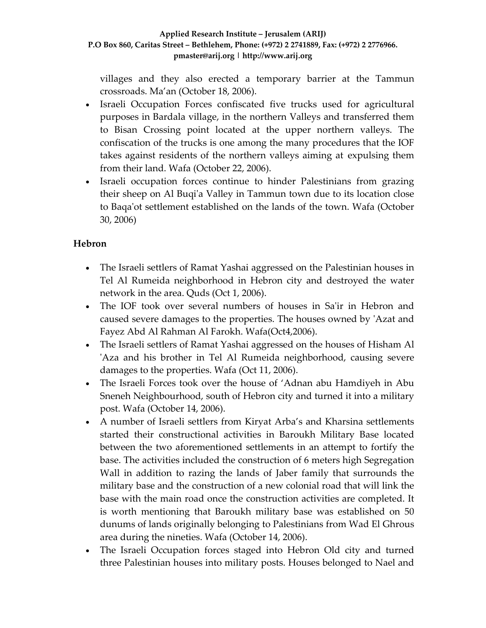villages and they also erected a temporary barrier at the Tammun crossroads. Ma'an (October 18, 2006).

- Israeli Occupation Forces confiscated five trucks used for agricultural purposes in Bardala village, in the northern Valleys and transferred them to Bisan Crossing point located at the upper northern valleys. The confiscation of the trucks is one among the many procedures that the IOF takes against residents of the northern valleys aiming at expulsing them from their land. Wafa (October 22, 2006).
- Israeli occupation forces continue to hinder Palestinians from grazing their sheep on Al Buqiʹa Valley in Tammun town due to its location close to Baqaʹot settlement established on the lands of the town. Wafa (October 30, 2006)

# **Hebron**

- The Israeli settlers of Ramat Yashai aggressed on the Palestinian houses in Tel Al Rumeida neighborhood in Hebron city and destroyed the water network in the area. Quds (Oct 1, 2006).
- The IOF took over several numbers of houses in Sa'ir in Hebron and caused severe damages to the properties. The houses owned by ʹAzat and Fayez Abd Al Rahman Al Farokh. Wafa(Oct4,2006).
- The Israeli settlers of Ramat Yashai aggressed on the houses of Hisham Al ʹAza and his brother in Tel Al Rumeida neighborhood, causing severe damages to the properties. Wafa (Oct 11, 2006).
- The Israeli Forces took over the house of 'Adnan abu Hamdiyeh in Abu Sneneh Neighbourhood, south of Hebron city and turned it into a military post. Wafa (October 14, 2006).
- A number of Israeli settlers from Kiryat Arba's and Kharsina settlements started their constructional activities in Baroukh Military Base located between the two aforementioned settlements in an attempt to fortify the base. The activities included the construction of 6 meters high Segregation Wall in addition to razing the lands of Jaber family that surrounds the military base and the construction of a new colonial road that will link the base with the main road once the construction activities are completed. It is worth mentioning that Baroukh military base was established on 50 dunums of lands originally belonging to Palestinians from Wad El Ghrous area during the nineties. Wafa (October 14, 2006).
- The Israeli Occupation forces staged into Hebron Old city and turned three Palestinian houses into military posts. Houses belonged to Nael and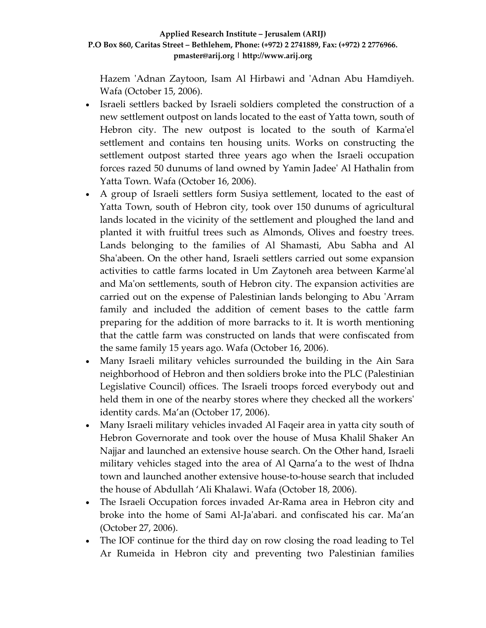Hazem 'Adnan Zaytoon, Isam Al Hirbawi and 'Adnan Abu Hamdiyeh. Wafa (October 15, 2006).

- Israeli settlers backed by Israeli soldiers completed the construction of a new settlement outpost on lands located to the east of Yatta town, south of Hebron city. The new outpost is located to the south of Karma'el settlement and contains ten housing units. Works on constructing the settlement outpost started three years ago when the Israeli occupation forces razed 50 dunums of land owned by Yamin Jadeeʹ Al Hathalin from Yatta Town. Wafa (October 16, 2006).
- A group of Israeli settlers form Susiya settlement, located to the east of Yatta Town, south of Hebron city, took over 150 dunums of agricultural lands located in the vicinity of the settlement and ploughed the land and planted it with fruitful trees such as Almonds, Olives and foestry trees. Lands belonging to the families of Al Shamasti, Abu Sabha and Al Shaʹabeen. On the other hand, Israeli settlers carried out some expansion activities to cattle farms located in Um Zaytoneh area between Karmeʹal and Maʹon settlements, south of Hebron city. The expansion activities are carried out on the expense of Palestinian lands belonging to Abu ʹArram family and included the addition of cement bases to the cattle farm preparing for the addition of more barracks to it. It is worth mentioning that the cattle farm was constructed on lands that were confiscated from the same family 15 years ago. Wafa (October 16, 2006).
- Many Israeli military vehicles surrounded the building in the Ain Sara neighborhood of Hebron and then soldiers broke into the PLC (Palestinian Legislative Council) offices. The Israeli troops forced everybody out and held them in one of the nearby stores where they checked all the workers' identity cards. Ma'an (October 17, 2006).
- Many Israeli military vehicles invaded Al Faqeir area in yatta city south of Hebron Governorate and took over the house of Musa Khalil Shaker An Najjar and launched an extensive house search. On the Other hand, Israeli military vehicles staged into the area of Al Qarna'a to the west of Ihdna town and launched another extensive house‐to‐house search that included the house of Abdullah 'Ali Khalawi. Wafa (October 18, 2006).
- The Israeli Occupation forces invaded Ar-Rama area in Hebron city and broke into the home of Sami Al‐Jaʹabari. and confiscated his car. Ma'an (October 27, 2006).
- The IOF continue for the third day on row closing the road leading to Tel Ar Rumeida in Hebron city and preventing two Palestinian families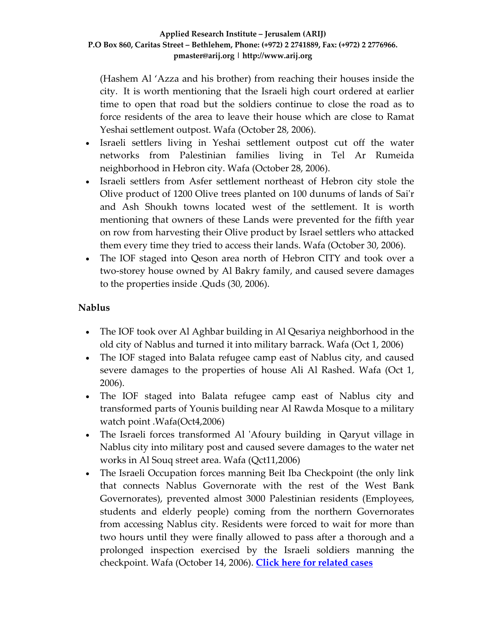(Hashem Al 'Azza and his brother) from reaching their houses inside the city. It is worth mentioning that the Israeli high court ordered at earlier time to open that road but the soldiers continue to close the road as to force residents of the area to leave their house which are close to Ramat Yeshai settlement outpost. Wafa (October 28, 2006).

- Israeli settlers living in Yeshai settlement outpost cut off the water networks from Palestinian families living in Tel Ar Rumeida neighborhood in Hebron city. Wafa (October 28, 2006).
- Israeli settlers from Asfer settlement northeast of Hebron city stole the Olive product of 1200 Olive trees planted on 100 dunums of lands of Saiʹr and Ash Shoukh towns located west of the settlement. It is worth mentioning that owners of these Lands were prevented for the fifth year on row from harvesting their Olive product by Israel settlers who attacked them every time they tried to access their lands. Wafa (October 30, 2006).
- The IOF staged into Qeson area north of Hebron CITY and took over a two‐storey house owned by Al Bakry family, and caused severe damages to the properties inside .Quds (30, 2006).

## **Nablus**

- The IOF took over Al Aghbar building in Al Qesariya neighborhood in the old city of Nablus and turned it into military barrack. Wafa (Oct 1, 2006)
- The IOF staged into Balata refugee camp east of Nablus city, and caused severe damages to the properties of house Ali Al Rashed. Wafa (Oct 1, 2006).
- The IOF staged into Balata refugee camp east of Nablus city and transformed parts of Younis building near Al Rawda Mosque to a military watch point .Wafa(Oct4,2006)
- The Israeli forces transformed Al 'Afoury building in Qaryut village in Nablus city into military post and caused severe damages to the water net works in Al Souq street area. Wafa (Qct11,2006)
- The Israeli Occupation forces manning Beit Iba Checkpoint (the only link that connects Nablus Governorate with the rest of the West Bank Governorates), prevented almost 3000 Palestinian residents (Employees, students and elderly people) coming from the northern Governorates from accessing Nablus city. Residents were forced to wait for more than two hours until they were finally allowed to pass after a thorough and a prolonged inspection exercised by the Israeli soldiers manning the checkpoint. Wafa (October 14, 2006). **Click here for [related](http://www.poica.org/editor/case_studies/view.php?recordID=914) cases**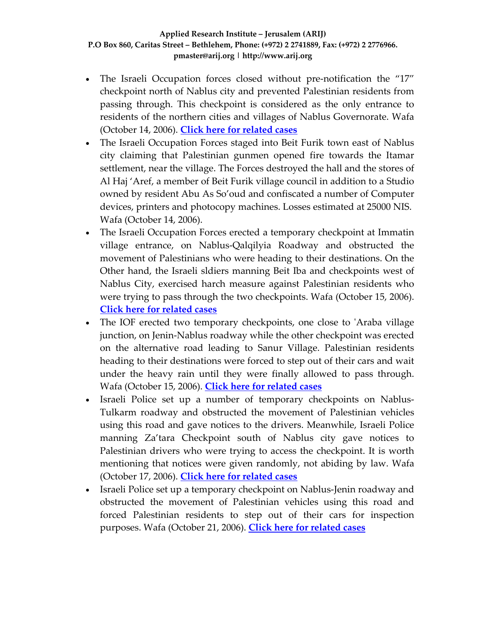- The Israeli Occupation forces closed without pre‐notification the "17" checkpoint north of Nablus city and prevented Palestinian residents from passing through. This checkpoint is considered as the only entrance to residents of the northern cities and villages of Nablus Governorate. Wafa (October 14, 2006). **Click here for [related](http://www.poica.org/editor/case_studies/view.php?recordID=914) cases**
- The Israeli Occupation Forces staged into Beit Furik town east of Nablus city claiming that Palestinian gunmen opened fire towards the Itamar settlement, near the village. The Forces destroyed the hall and the stores of Al Haj 'Aref, a member of Beit Furik village council in addition to a Studio owned by resident Abu As So'oud and confiscated a number of Computer devices, printers and photocopy machines. Losses estimated at 25000 NIS. Wafa (October 14, 2006).
- The Israeli Occupation Forces erected a temporary checkpoint at Immatin village entrance, on Nablus‐Qalqilyia Roadway and obstructed the movement of Palestinians who were heading to their destinations. On the Other hand, the Israeli sldiers manning Beit Iba and checkpoints west of Nablus City, exercised harch measure against Palestinian residents who were trying to pass through the two checkpoints. Wafa (October 15, 2006). **Click here for [related](http://www.poica.org/editor/case_studies/view.php?recordID=914) cases**
- The IOF erected two temporary checkpoints, one close to 'Araba village junction, on Jenin‐Nablus roadway while the other checkpoint was erected on the alternative road leading to Sanur Village. Palestinian residents heading to their destinations were forced to step out of their cars and wait under the heavy rain until they were finally allowed to pass through. Wafa (October 15, 2006). **Click here for [related](http://www.poica.org/editor/case_studies/view.php?recordID=914) cases**
- Israeli Police set up a number of temporary checkpoints on Nablus-Tulkarm roadway and obstructed the movement of Palestinian vehicles using this road and gave notices to the drivers. Meanwhile, Israeli Police manning Za'tara Checkpoint south of Nablus city gave notices to Palestinian drivers who were trying to access the checkpoint. It is worth mentioning that notices were given randomly, not abiding by law. Wafa (October 17, 2006). **Click here for [related](http://www.poica.org/editor/case_studies/view.php?recordID=914) cases**
- Israeli Police set up a temporary checkpoint on Nablus-Jenin roadway and obstructed the movement of Palestinian vehicles using this road and forced Palestinian residents to step out of their cars for inspection purposes. Wafa (October 21, 2006). **Click here for [related](http://www.poica.org/editor/case_studies/view.php?recordID=914) cases**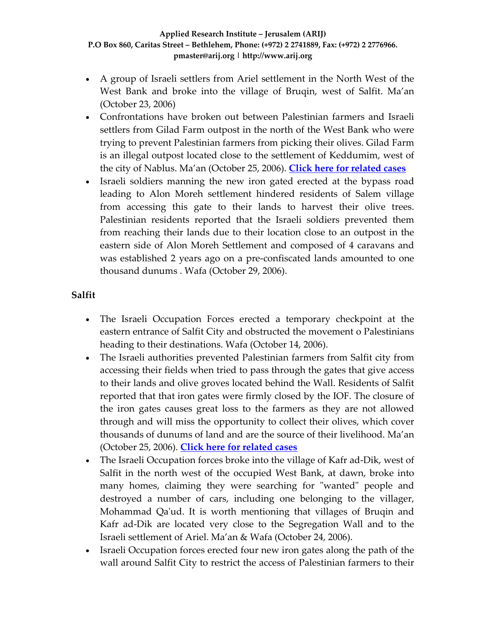- A group of Israeli settlers from Ariel settlement in the North West of the West Bank and broke into the village of Bruqin, west of Salfit. Ma'an (October 23, 2006)
- Confrontations have broken out between Palestinian farmers and Israeli settlers from Gilad Farm outpost in the north of the West Bank who were trying to prevent Palestinian farmers from picking their olives. Gilad Farm is an illegal outpost located close to the settlement of Keddumim, west of the city of Nablus. Ma'an (October 25, 2006). **Click here for [related](http://www.poica.org/editor/case_studies/view.php?recordID=903) cases**
- Israeli soldiers manning the new iron gated erected at the bypass road leading to Alon Moreh settlement hindered residents of Salem village from accessing this gate to their lands to harvest their olive trees. Palestinian residents reported that the Israeli soldiers prevented them from reaching their lands due to their location close to an outpost in the eastern side of Alon Moreh Settlement and composed of 4 caravans and was established 2 years ago on a pre‐confiscated lands amounted to one thousand dunums . Wafa (October 29, 2006).

# **Salfit**

- The Israeli Occupation Forces erected a temporary checkpoint at the eastern entrance of Salfit City and obstructed the movement o Palestinians heading to their destinations. Wafa (October 14, 2006).
- The Israeli authorities prevented Palestinian farmers from Salfit city from accessing their fields when tried to pass through the gates that give access to their lands and olive groves located behind the Wall. Residents of Salfit reported that that iron gates were firmly closed by the IOF. The closure of the iron gates causes great loss to the farmers as they are not allowed through and will miss the opportunity to collect their olives, which cover thousands of dunums of land and are the source of their livelihood. Ma'an (October 25, 2006). **Click here for [related](http://www.poica.org/editor/case_studies/view.php?recordID=903) cases**
- The Israeli Occupation forces broke into the village of Kafr ad-Dik, west of Salfit in the north west of the occupied West Bank, at dawn, broke into many homes, claiming they were searching for "wanted" people and destroyed a number of cars, including one belonging to the villager, Mohammad Qaʹud. It is worth mentioning that villages of Bruqin and Kafr ad‐Dik are located very close to the Segregation Wall and to the Israeli settlement of Ariel. Ma'an & Wafa (October 24, 2006).
- Israeli Occupation forces erected four new iron gates along the path of the wall around Salfit City to restrict the access of Palestinian farmers to their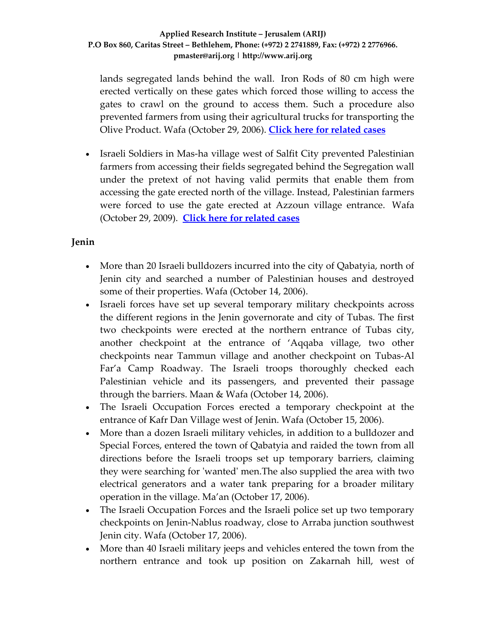lands segregated lands behind the wall. Iron Rods of 80 cm high were erected vertically on these gates which forced those willing to access the gates to crawl on the ground to access them. Such a procedure also prevented farmers from using their agricultural trucks for transporting the Olive Product. Wafa (October 29, 2006). **Click here for [related](http://www.poica.org/editor/case_studies/view.php?recordID=903) cases**

• Israeli Soldiers in Mas-ha village west of Salfit City prevented Palestinian farmers from accessing their fields segregated behind the Segregation wall under the pretext of not having valid permits that enable them from accessing the gate erected north of the village. Instead, Palestinian farmers were forced to use the gate erected at Azzoun village entrance. Wafa (October 29, 2009). **Click here for [related](http://www.poica.org/editor/case_studies/view.php?recordID=903) cases**

# **Jenin**

- More than 20 Israeli bulldozers incurred into the city of Qabatyia, north of Jenin city and searched a number of Palestinian houses and destroyed some of their properties. Wafa (October 14, 2006).
- Israeli forces have set up several temporary military checkpoints across the different regions in the Jenin governorate and city of Tubas. The first two checkpoints were erected at the northern entrance of Tubas city, another checkpoint at the entrance of 'Aqqaba village, two other checkpoints near Tammun village and another checkpoint on Tubas‐Al Far'a Camp Roadway. The Israeli troops thoroughly checked each Palestinian vehicle and its passengers, and prevented their passage through the barriers. Maan & Wafa (October 14, 2006).
- The Israeli Occupation Forces erected a temporary checkpoint at the entrance of Kafr Dan Village west of Jenin. Wafa (October 15, 2006).
- More than a dozen Israeli military vehicles, in addition to a bulldozer and Special Forces, entered the town of Qabatyia and raided the town from all directions before the Israeli troops set up temporary barriers, claiming they were searching for ʹwantedʹ men.The also supplied the area with two electrical generators and a water tank preparing for a broader military operation in the village. Ma'an (October 17, 2006).
- The Israeli Occupation Forces and the Israeli police set up two temporary checkpoints on Jenin‐Nablus roadway, close to Arraba junction southwest Jenin city. Wafa (October 17, 2006).
- More than 40 Israeli military jeeps and vehicles entered the town from the northern entrance and took up position on Zakarnah hill, west of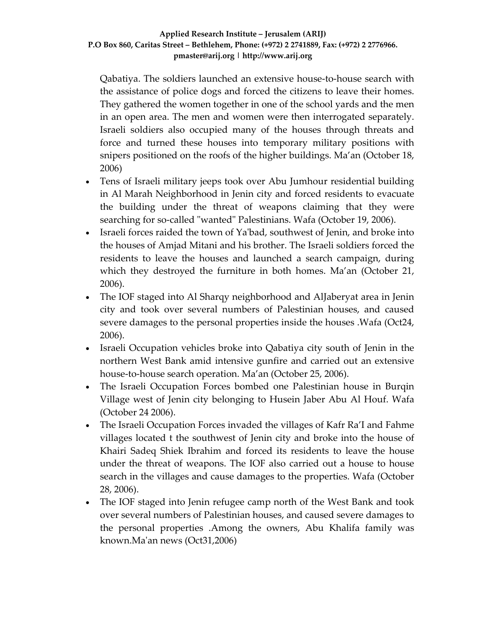Qabatiya. The soldiers launched an extensive house‐to‐house search with the assistance of police dogs and forced the citizens to leave their homes. They gathered the women together in one of the school yards and the men in an open area. The men and women were then interrogated separately. Israeli soldiers also occupied many of the houses through threats and force and turned these houses into temporary military positions with snipers positioned on the roofs of the higher buildings. Ma'an (October 18, 2006)

- Tens of Israeli military jeeps took over Abu Jumhour residential building in Al Marah Neighborhood in Jenin city and forced residents to evacuate the building under the threat of weapons claiming that they were searching for so-called "wanted" Palestinians. Wafa (October 19, 2006).
- Israeli forces raided the town of Ya'bad, southwest of Jenin, and broke into the houses of Amjad Mitani and his brother. The Israeli soldiers forced the residents to leave the houses and launched a search campaign, during which they destroyed the furniture in both homes. Ma'an (October 21, 2006).
- The IOF staged into Al Sharqy neighborhood and AlJaberyat area in Jenin city and took over several numbers of Palestinian houses, and caused severe damages to the personal properties inside the houses .Wafa (Oct24, 2006).
- Israeli Occupation vehicles broke into Qabatiya city south of Jenin in the northern West Bank amid intensive gunfire and carried out an extensive house-to-house search operation. Ma'an (October 25, 2006).
- The Israeli Occupation Forces bombed one Palestinian house in Burqin Village west of Jenin city belonging to Husein Jaber Abu Al Houf. Wafa (October 24 2006).
- The Israeli Occupation Forces invaded the villages of Kafr Ra'I and Fahme villages located t the southwest of Jenin city and broke into the house of Khairi Sadeq Shiek Ibrahim and forced its residents to leave the house under the threat of weapons. The IOF also carried out a house to house search in the villages and cause damages to the properties. Wafa (October 28, 2006).
- The IOF staged into Jenin refugee camp north of the West Bank and took over several numbers of Palestinian houses, and caused severe damages to the personal properties .Among the owners, Abu Khalifa family was known.Maʹan news (Oct31,2006)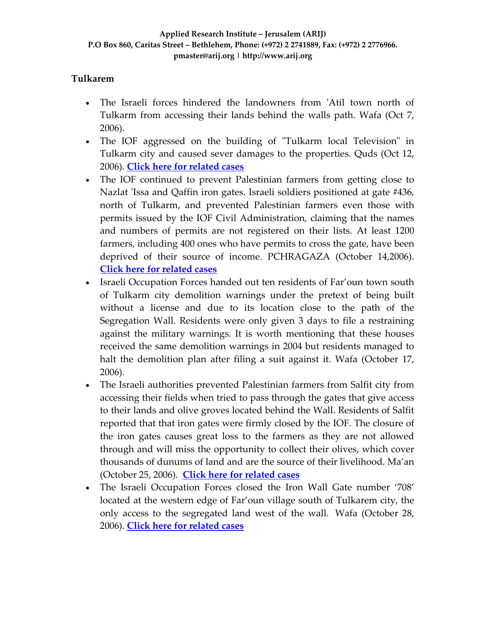# **Tulkarem**

- The Israeli forces hindered the landowners from 'Atil town north of Tulkarm from accessing their lands behind the walls path. Wafa (Oct 7, 2006).
- The IOF aggressed on the building of "Tulkarm local Television" in Tulkarm city and caused sever damages to the properties. Quds (Oct 12, 2006). **Click here for [related](http://www.poica.org/editor/case_studies/view.php?recordID=475) cases**
- The IOF continued to prevent Palestinian farmers from getting close to Nazlat 'Issa and Qaffin iron gates. Israeli soldiers positioned at gate #436, north of Tulkarm, and prevented Palestinian farmers even those with permits issued by the IOF Civil Administration, claiming that the names and numbers of permits are not registered on their lists. At least 1200 farmers, including 400 ones who have permits to cross the gate, have been deprived of their source of income. PCHRAGAZA (October 14,2006). **Click here for [related](http://www.poica.org/editor/case_studies/view.php?recordID=903) cases**
- Israeli Occupation Forces handed out ten residents of Far'oun town south of Tulkarm city demolition warnings under the pretext of being built without a license and due to its location close to the path of the Segregation Wall. Residents were only given 3 days to file a restraining against the military warnings. It is worth mentioning that these houses received the same demolition warnings in 2004 but residents managed to halt the demolition plan after filing a suit against it. Wafa (October 17, 2006).
- The Israeli authorities prevented Palestinian farmers from Salfit city from accessing their fields when tried to pass through the gates that give access to their lands and olive groves located behind the Wall. Residents of Salfit reported that that iron gates were firmly closed by the IOF. The closure of the iron gates causes great loss to the farmers as they are not allowed through and will miss the opportunity to collect their olives, which cover thousands of dunums of land and are the source of their livelihood. Ma'an (October 25, 2006). **Click here for [related](http://www.poica.org/editor/case_studies/view.php?recordID=903) cases**
- The Israeli Occupation Forces closed the Iron Wall Gate number '708' located at the western edge of Far'oun village south of Tulkarem city, the only access to the segregated land west of the wall. Wafa (October 28, 2006). **Click here for [related](http://www.poica.org/editor/case_studies/view.php?recordID=905) cases**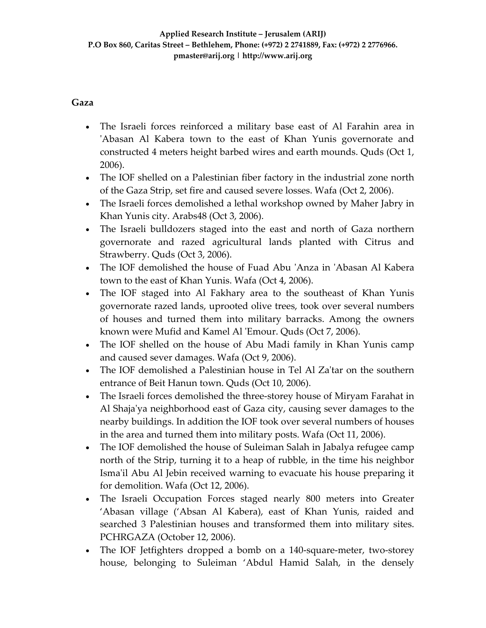## **Gaza**

- The Israeli forces reinforced a military base east of Al Farahin area in 'Abasan Al Kabera town to the east of Khan Yunis governorate and constructed 4 meters height barbed wires and earth mounds. Quds (Oct 1, 2006).
- The IOF shelled on a Palestinian fiber factory in the industrial zone north of the Gaza Strip, set fire and caused severe losses. Wafa (Oct 2, 2006).
- The Israeli forces demolished a lethal workshop owned by Maher Jabry in Khan Yunis city. Arabs48 (Oct 3, 2006).
- The Israeli bulldozers staged into the east and north of Gaza northern governorate and razed agricultural lands planted with Citrus and Strawberry. Quds (Oct 3, 2006).
- The IOF demolished the house of Fuad Abu 'Anza in 'Abasan Al Kabera town to the east of Khan Yunis. Wafa (Oct 4, 2006).
- The IOF staged into Al Fakhary area to the southeast of Khan Yunis governorate razed lands, uprooted olive trees, took over several numbers of houses and turned them into military barracks. Among the owners known were Mufid and Kamel Al 'Emour. Quds (Oct 7, 2006).
- The IOF shelled on the house of Abu Madi family in Khan Yunis camp and caused sever damages. Wafa (Oct 9, 2006).
- The IOF demolished a Palestinian house in Tel Al Za'tar on the southern entrance of Beit Hanun town. Quds (Oct 10, 2006).
- The Israeli forces demolished the three-storey house of Miryam Farahat in Al Shajaʹya neighborhood east of Gaza city, causing sever damages to the nearby buildings. In addition the IOF took over several numbers of houses in the area and turned them into military posts. Wafa (Oct 11, 2006).
- The IOF demolished the house of Suleiman Salah in Jabalya refugee camp north of the Strip, turning it to a heap of rubble, in the time his neighbor Isma'il Abu Al Jebin received warning to evacuate his house preparing it for demolition. Wafa (Oct 12, 2006).
- The Israeli Occupation Forces staged nearly 800 meters into Greater 'Abasan village ('Absan Al Kabera), east of Khan Yunis, raided and searched 3 Palestinian houses and transformed them into military sites. PCHRGAZA (October 12, 2006).
- The IOF Jetfighters dropped a bomb on a 140-square-meter, two-storey house, belonging to Suleiman 'Abdul Hamid Salah, in the densely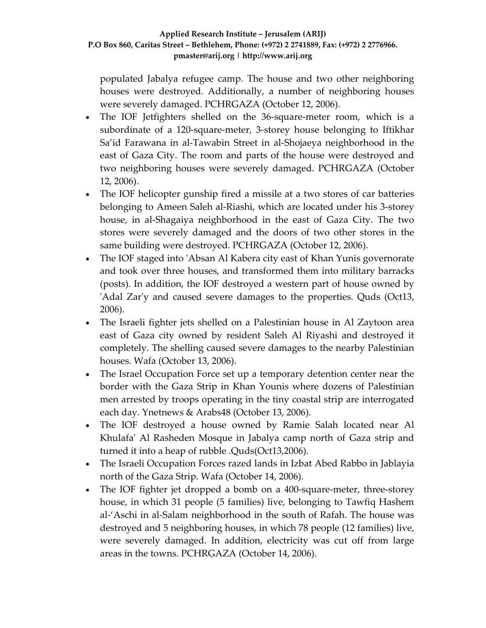populated Jabalya refugee camp. The house and two other neighboring houses were destroyed. Additionally, a number of neighboring houses were severely damaged. PCHRGAZA (October 12, 2006).

- The IOF Jetfighters shelled on the 36-square-meter room, which is a subordinate of a 120‐square‐meter, 3‐storey house belonging to Iftikhar Sa'id Farawana in al‐Tawabin Street in al‐Shojaeya neighborhood in the east of Gaza City. The room and parts of the house were destroyed and two neighboring houses were severely damaged. PCHRGAZA (October 12, 2006).
- The IOF helicopter gunship fired a missile at a two stores of car batteries belonging to Ameen Saleh al‐Riashi, which are located under his 3‐storey house, in al‐Shagaiya neighborhood in the east of Gaza City. The two stores were severely damaged and the doors of two other stores in the same building were destroyed. PCHRGAZA (October 12, 2006).
- The IOF staged into 'Absan Al Kabera city east of Khan Yunis governorate and took over three houses, and transformed them into military barracks (posts). In addition, the IOF destroyed a western part of house owned by ʹAdal Zarʹy and caused severe damages to the properties. Quds (Oct13, 2006).
- The Israeli fighter jets shelled on a Palestinian house in Al Zaytoon area east of Gaza city owned by resident Saleh Al Riyashi and destroyed it completely. The shelling caused severe damages to the nearby Palestinian houses. Wafa (October 13, 2006).
- The Israel Occupation Force set up a temporary detention center near the border with the Gaza Strip in Khan Younis where dozens of Palestinian men arrested by troops operating in the tiny coastal strip are interrogated each day. Ynetnews & Arabs48 (October 13, 2006).
- The IOF destroyed a house owned by Ramie Salah located near Al Khulafaʹ Al Rasheden Mosque in Jabalya camp north of Gaza strip and turned it into a heap of rubble .Quds(Oct13,2006).
- The Israeli Occupation Forces razed lands in Izbat Abed Rabbo in Jablayia north of the Gaza Strip. Wafa (October 14, 2006).
- The IOF fighter jet dropped a bomb on a 400-square-meter, three-storey house, in which 31 people (5 families) live, belonging to Tawfiq Hashem al‐'Aschi in al‐Salam neighborhood in the south of Rafah. The house was destroyed and 5 neighboring houses, in which 78 people (12 families) live, were severely damaged. In addition, electricity was cut off from large areas in the towns. PCHRGAZA (October 14, 2006).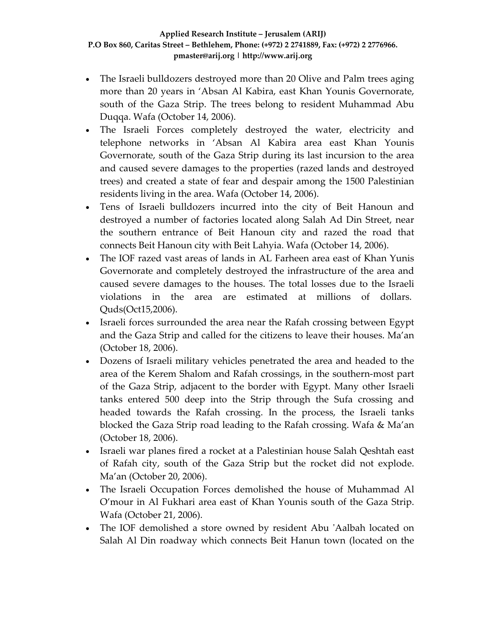- The Israeli bulldozers destroyed more than 20 Olive and Palm trees aging more than 20 years in 'Absan Al Kabira, east Khan Younis Governorate, south of the Gaza Strip. The trees belong to resident Muhammad Abu Duqqa. Wafa (October 14, 2006).
- The Israeli Forces completely destroyed the water, electricity and telephone networks in 'Absan Al Kabira area east Khan Younis Governorate, south of the Gaza Strip during its last incursion to the area and caused severe damages to the properties (razed lands and destroyed trees) and created a state of fear and despair among the 1500 Palestinian residents living in the area. Wafa (October 14, 2006).
- Tens of Israeli bulldozers incurred into the city of Beit Hanoun and destroyed a number of factories located along Salah Ad Din Street, near the southern entrance of Beit Hanoun city and razed the road that connects Beit Hanoun city with Beit Lahyia. Wafa (October 14, 2006).
- The IOF razed vast areas of lands in AL Farheen area east of Khan Yunis Governorate and completely destroyed the infrastructure of the area and caused severe damages to the houses. The total losses due to the Israeli violations in the area are estimated at millions of dollars. Quds(Oct15,2006).
- Israeli forces surrounded the area near the Rafah crossing between Egypt and the Gaza Strip and called for the citizens to leave their houses. Ma'an (October 18, 2006).
- Dozens of Israeli military vehicles penetrated the area and headed to the area of the Kerem Shalom and Rafah crossings, in the southern‐most part of the Gaza Strip, adjacent to the border with Egypt. Many other Israeli tanks entered 500 deep into the Strip through the Sufa crossing and headed towards the Rafah crossing. In the process, the Israeli tanks blocked the Gaza Strip road leading to the Rafah crossing. Wafa & Ma'an (October 18, 2006).
- Israeli war planes fired a rocket at a Palestinian house Salah Qeshtah east of Rafah city, south of the Gaza Strip but the rocket did not explode. Ma'an (October 20, 2006).
- The Israeli Occupation Forces demolished the house of Muhammad Al O'mour in Al Fukhari area east of Khan Younis south of the Gaza Strip. Wafa (October 21, 2006).
- The IOF demolished a store owned by resident Abu 'Aalbah located on Salah Al Din roadway which connects Beit Hanun town (located on the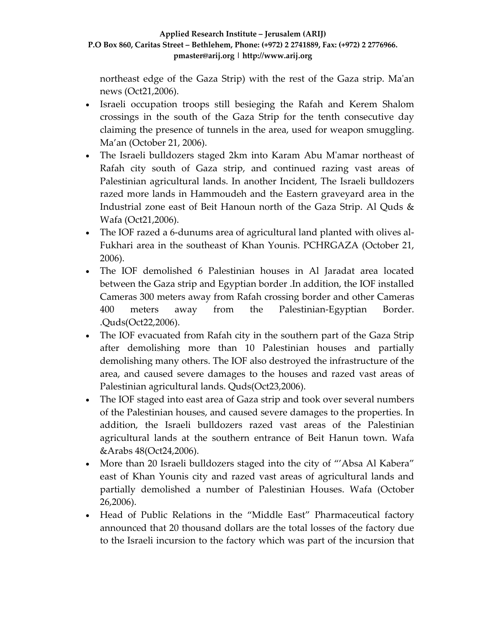northeast edge of the Gaza Strip) with the rest of the Gaza strip. Maʹan news (Oct21,2006).

- Israeli occupation troops still besieging the Rafah and Kerem Shalom crossings in the south of the Gaza Strip for the tenth consecutive day claiming the presence of tunnels in the area, used for weapon smuggling. Ma'an (October 21, 2006).
- The Israeli bulldozers staged 2km into Karam Abu M'amar northeast of Rafah city south of Gaza strip, and continued razing vast areas of Palestinian agricultural lands. In another Incident, The Israeli bulldozers razed more lands in Hammoudeh and the Eastern graveyard area in the Industrial zone east of Beit Hanoun north of the Gaza Strip. Al Quds & Wafa (Oct21,2006).
- The IOF razed a 6-dunums area of agricultural land planted with olives al-Fukhari area in the southeast of Khan Younis. PCHRGAZA (October 21, 2006).
- The IOF demolished 6 Palestinian houses in Al Jaradat area located between the Gaza strip and Egyptian border .In addition, the IOF installed Cameras 300 meters away from Rafah crossing border and other Cameras 400 meters away from the Palestinian‐Egyptian Border. .Quds(Oct22,2006).
- The IOF evacuated from Rafah city in the southern part of the Gaza Strip after demolishing more than 10 Palestinian houses and partially demolishing many others. The IOF also destroyed the infrastructure of the area, and caused severe damages to the houses and razed vast areas of Palestinian agricultural lands. Quds(Oct23,2006).
- The IOF staged into east area of Gaza strip and took over several numbers of the Palestinian houses, and caused severe damages to the properties. In addition, the Israeli bulldozers razed vast areas of the Palestinian agricultural lands at the southern entrance of Beit Hanun town. Wafa &Arabs 48(Oct24,2006).
- More than 20 Israeli bulldozers staged into the city of "'Absa Al Kabera" east of Khan Younis city and razed vast areas of agricultural lands and partially demolished a number of Palestinian Houses. Wafa (October 26,2006).
- Head of Public Relations in the "Middle East" Pharmaceutical factory announced that 20 thousand dollars are the total losses of the factory due to the Israeli incursion to the factory which was part of the incursion that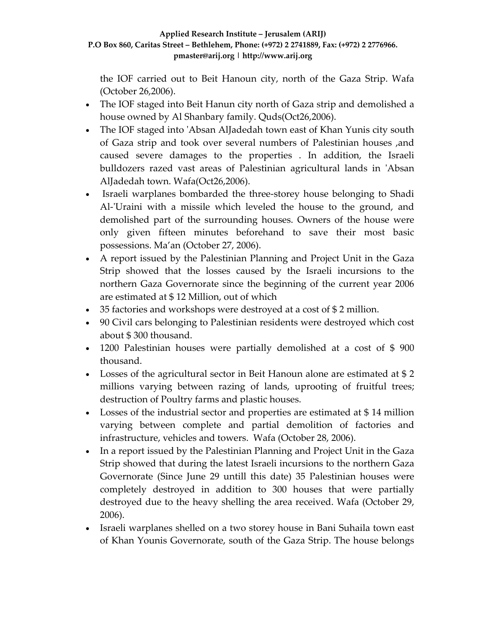the IOF carried out to Beit Hanoun city, north of the Gaza Strip. Wafa (October 26,2006).

- The IOF staged into Beit Hanun city north of Gaza strip and demolished a house owned by Al Shanbary family. Quds(Oct26,2006).
- The IOF staged into 'Absan AlJadedah town east of Khan Yunis city south of Gaza strip and took over several numbers of Palestinian houses ,and caused severe damages to the properties . In addition, the Israeli bulldozers razed vast areas of Palestinian agricultural lands in ʹAbsan AlJadedah town. Wafa(Oct26,2006).
- Israeli warplanes bombarded the three-storey house belonging to Shadi Al-'Uraini with a missile which leveled the house to the ground, and demolished part of the surrounding houses. Owners of the house were only given fifteen minutes beforehand to save their most basic possessions. Ma'an (October 27, 2006).
- A report issued by the Palestinian Planning and Project Unit in the Gaza Strip showed that the losses caused by the Israeli incursions to the northern Gaza Governorate since the beginning of the current year 2006 are estimated at \$ 12 Million, out of which
- 35 factories and workshops were destroyed at a cost of \$ 2 million.
- 90 Civil cars belonging to Palestinian residents were destroyed which cost about \$ 300 thousand.
- 1200 Palestinian houses were partially demolished at a cost of \$ 900 thousand.
- Losses of the agricultural sector in Beit Hanoun alone are estimated at \$2 millions varying between razing of lands, uprooting of fruitful trees; destruction of Poultry farms and plastic houses.
- Losses of the industrial sector and properties are estimated at \$14 million varying between complete and partial demolition of factories and infrastructure, vehicles and towers. Wafa (October 28, 2006).
- In a report issued by the Palestinian Planning and Project Unit in the Gaza Strip showed that during the latest Israeli incursions to the northern Gaza Governorate (Since June 29 untill this date) 35 Palestinian houses were completely destroyed in addition to 300 houses that were partially destroyed due to the heavy shelling the area received. Wafa (October 29, 2006).
- Israeli warplanes shelled on a two storey house in Bani Suhaila town east of Khan Younis Governorate, south of the Gaza Strip. The house belongs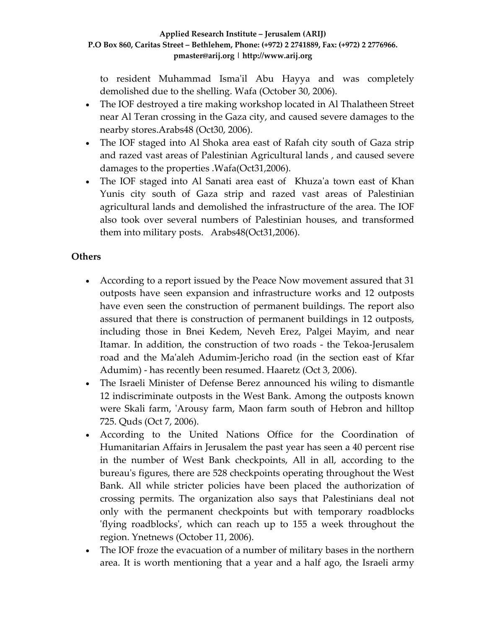to resident Muhammad Ismaʹil Abu Hayya and was completely demolished due to the shelling. Wafa (October 30, 2006).

- The IOF destroyed a tire making workshop located in Al Thalatheen Street near Al Teran crossing in the Gaza city, and caused severe damages to the nearby stores.Arabs48 (Oct30, 2006).
- The IOF staged into Al Shoka area east of Rafah city south of Gaza strip and razed vast areas of Palestinian Agricultural lands , and caused severe damages to the properties .Wafa(Oct31,2006).
- The IOF staged into Al Sanati area east of Khuza'a town east of Khan Yunis city south of Gaza strip and razed vast areas of Palestinian agricultural lands and demolished the infrastructure of the area. The IOF also took over several numbers of Palestinian houses, and transformed them into military posts. Arabs48(Oct31,2006).

# **Others**

- According to a report issued by the Peace Now movement assured that 31 outposts have seen expansion and infrastructure works and 12 outposts have even seen the construction of permanent buildings. The report also assured that there is construction of permanent buildings in 12 outposts, including those in Bnei Kedem, Neveh Erez, Palgei Mayim, and near Itamar. In addition, the construction of two roads ‐ the Tekoa‐Jerusalem road and the Maʹaleh Adumim‐Jericho road (in the section east of Kfar Adumim) - has recently been resumed. Haaretz (Oct 3, 2006).
- The Israeli Minister of Defense Berez announced his wiling to dismantle 12 indiscriminate outposts in the West Bank. Among the outposts known were Skali farm, 'Arousy farm, Maon farm south of Hebron and hilltop 725. Quds (Oct 7, 2006).
- According to the United Nations Office for the Coordination of Humanitarian Affairs in Jerusalem the past year has seen a 40 percent rise in the number of West Bank checkpoints, All in all, according to the bureauʹs figures, there are 528 checkpoints operating throughout the West Bank. All while stricter policies have been placed the authorization of crossing permits. The organization also says that Palestinians deal not only with the permanent checkpoints but with temporary roadblocks ʹflying roadblocksʹ, which can reach up to 155 a week throughout the region. Ynetnews (October 11, 2006).
- The IOF froze the evacuation of a number of military bases in the northern area. It is worth mentioning that a year and a half ago, the Israeli army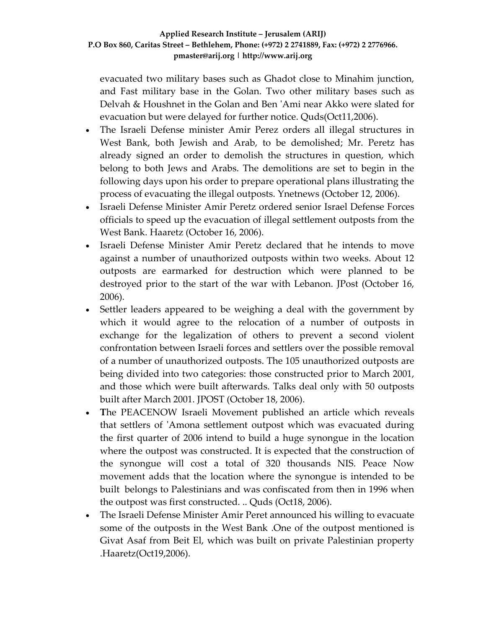evacuated two military bases such as Ghadot close to Minahim junction, and Fast military base in the Golan. Two other military bases such as Delvah & Houshnet in the Golan and Ben ʹAmi near Akko were slated for evacuation but were delayed for further notice. Quds(Oct11,2006).

- The Israeli Defense minister Amir Perez orders all illegal structures in West Bank, both Jewish and Arab, to be demolished; Mr. Peretz has already signed an order to demolish the structures in question, which belong to both Jews and Arabs. The demolitions are set to begin in the following days upon his order to prepare operational plans illustrating the process of evacuating the illegal outposts. Ynetnews (October 12, 2006).
- Israeli Defense Minister Amir Peretz ordered senior Israel Defense Forces officials to speed up the evacuation of illegal settlement outposts from the West Bank. Haaretz (October 16, 2006).
- Israeli Defense Minister Amir Peretz declared that he intends to move against a number of unauthorized outposts within two weeks. About 12 outposts are earmarked for destruction which were planned to be destroyed prior to the start of the war with Lebanon. JPost (October 16, 2006).
- Settler leaders appeared to be weighing a deal with the government by which it would agree to the relocation of a number of outposts in exchange for the legalization of others to prevent a second violent confrontation between Israeli forces and settlers over the possible removal of a number of unauthorized outposts. The 105 unauthorized outposts are being divided into two categories: those constructed prior to March 2001, and those which were built afterwards. Talks deal only with 50 outposts built after March 2001. JPOST (October 18, 2006).
- **T**he PEACENOW Israeli Movement published an article which reveals T that settlers of 'Amona settlement outpost which was evacuated during the first quarter of 2006 intend to build a huge synongue in the location where the outpost was constructed. It is expected that the construction of the synongue will cost a total of 320 thousands NIS. Peace Now movement adds that the location where the synongue is intended to be built belongs to Palestinians and was confiscated from then in 1996 when the outpost was first constructed. .. Quds (Oct18, 2006).
- The Israeli Defense Minister Amir Peret announced his willing to evacuate some of the outposts in the West Bank .One of the outpost mentioned is Givat Asaf from Beit El, which was built on private Palestinian property .Haaretz(Oct19,2006).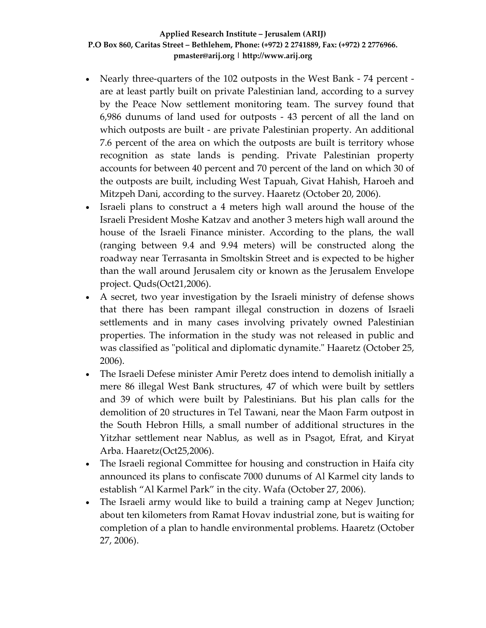- Nearly three-quarters of the 102 outposts in the West Bank 74 percent are at least partly built on private Palestinian land, according to a survey by the Peace Now settlement monitoring team. The survey found that 6,986 dunums of land used for outposts ‐ 43 percent of all the land on which outposts are built ‐ are private Palestinian property. An additional 7.6 percent of the area on which the outposts are built is territory whose recognition as state lands is pending. Private Palestinian property accounts for between 40 percent and 70 percent of the land on which 30 of the outposts are built, including West Tapuah, Givat Hahish, Haroeh and Mitzpeh Dani, according to the survey. Haaretz (October 20, 2006).
- Israeli plans to construct a 4 meters high wall around the house of the Israeli President Moshe Katzav and another 3 meters high wall around the house of the Israeli Finance minister. According to the plans, the wall (ranging between 9.4 and 9.94 meters) will be constructed along the roadway near Terrasanta in Smoltskin Street and is expected to be higher than the wall around Jerusalem city or known as the Jerusalem Envelope project. Quds(Oct21,2006).
- A secret, two year investigation by the Israeli ministry of defense shows that there has been rampant illegal construction in dozens of Israeli settlements and in many cases involving privately owned Palestinian properties. The information in the study was not released in public and was classified as "political and diplomatic dynamite." Haaretz (October 25, 2006).
- The Israeli Defese minister Amir Peretz does intend to demolish initially a mere 86 illegal West Bank structures, 47 of which were built by settlers and 39 of which were built by Palestinians. But his plan calls for the demolition of 20 structures in Tel Tawani, near the Maon Farm outpost in the South Hebron Hills, a small number of additional structures in the Yitzhar settlement near Nablus, as well as in Psagot, Efrat, and Kiryat Arba. Haaretz(Oct25,2006).
- The Israeli regional Committee for housing and construction in Haifa city announced its plans to confiscate 7000 dunums of Al Karmel city lands to establish "Al Karmel Park" in the city. Wafa (October 27, 2006).
- The Israeli army would like to build a training camp at Negev Junction; about ten kilometers from Ramat Hovav industrial zone, but is waiting for completion of a plan to handle environmental problems. Haaretz (October 27, 2006).